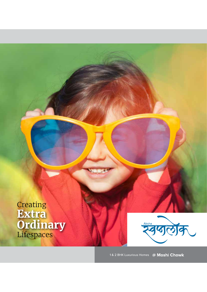



1& 2 BHK Luxurious Homes @ Moshi Chowk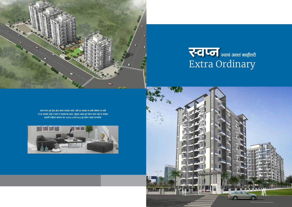

## **रिट्रेजि** ज्याचं असतं काहीतरी Extra Ordinary

घराचं स्वप्न पूर्ण होता होता कायम तारांबळ असते. कधी घर आवडतं तर कधी लोकेशन तर कधी जे घर आवडलं आहे ते असतं न परवडणाऱ्या दरात. म्हणूनच अक्क्षा ग्रुप घेऊन आला आहे या सगळ्या<br>अडचणी नाहिश्या करणारा एक extra ordinary गृह प्रकल्प अक्क्षा स्वप्नलोक.



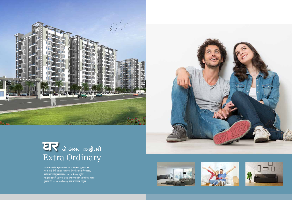

# घर जे असतं काहीतरी<br>Extra Ordinary

।<br>अक्क्षा स्वप्नलोक म्हणजे प्रशस्त १ व २ बेडरुमचा गृहप्रकल्प जो वसला आहे मोशी सारख्या मोक्याच्या ठिकाणी इथला प्रत्येककोपरा, ासम्मान्तुः<br><u>- प्रत्येकगोष्ट दे</u>ते तुम्हाला एक extra ordinary अनुभव. ्<br>| वास्तुशास्त्राप्रमाणे गृहरचना, लख्ख सुर्यप्रकाश आणि स्वच्छ निरभ्र आकाश तुम्हाला देते extra ordinary घरात राहाल्याचा अनुभव.







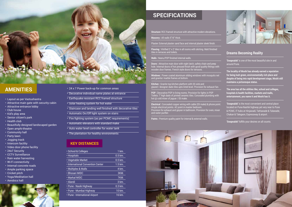

- • Layout as per Vastushastra
- Attractive main gate with security cabin
- Attractive entrance lobby
- $\cdot$  Club house
- Kid's play area
- Senior citizen's park
- $\cdot$  Health club
- Beautifully designed landscaped garden
- Open amphi-theatre
- Community hall
- Party lawn
- Jogging track
- Intercom facility
- Video door phone facility
- 24x7 Security
- CCTV Surveillance
- Rain water harvesting
- Wi-Fi connectivity
- Internal concrete roads
- Ample parking space
- $\cdot$  Cricket pitch
- Yoga/Meditation hall
- Aerobics hall



- AMENITIES **AMENITIES EXECUTE A** 
	- Decorative individual name plates at entrance
	- Earthquake resistant RCC framed structure
	- Solar heating system for hot water
	- $\cdot$  Staircase and landing well finished with decorative tiles
	- Automatic On/Off light system on stairs
	- $\overline{\cdot}$  Fire fighting system (as per PCMC requirements)
	- $\cdot$  Automatic elevators with standard make
	- Auto water level controller for water tank
	- The plantation for healthy environments

**Flooring :** Vitrified 2' x 2' tiles in all rooms with skirting. Matt finished tiles in terraces and toilets

#### **KEY DISTANCES**

| · School & Colleges                      | 1 km.     |
|------------------------------------------|-----------|
| • Hospitals                              | $0.5$ km. |
| • Vegetable Market                       | $0.5$ km. |
| <b>· International Convention Center</b> | $1.5$ km. |
| • Multiplex & Malls                      | 4 km.     |
| • Bhosari MIDC                           | 3KM.      |
| • Markal MIDC                            | 7KM.      |
| • Alandi                                 | 3 km.     |
| • Pune - Nasik Highway                   | 0.3 km.   |
| • Pune - Mumbai Highway                  | 10 km.    |
| • Pune - International Airport           | 16 km.    |
|                                          |           |

### **SPECIFICATIONS**

**Structure:** RCC framed structure with attractive modern elevations.

**Masonry: All walls 5"/6" thick.** 

Plaster: External plaster sand face and internal plaster sleek finish.

**Walls :** Neeru/POP finished internal walls.

**Doors :** Attractive main door with night latch, safety chain and peep hole. Internal doors of hot pressed finish with good quality fittings with wooden door frames. French style doors for terraces.

**Windows :** Power coated aluminum sliding windows with mosquito net and granite/ marble frames at bottom.

**Kitchen :** Granite top kitchen platform with SS sink and glazed / designer dado tiles upto lintel level. Provision for exhaust fan.

**POP :** Decorative POP in living rooms. Provision for lights in POP Toilets: 7' high dado of printed ceramic tiles. Concealed plumbing with hot @ cold mixer of jaguar / ISI make.

**Electrical :** Concealed copper wiring with cable (ISI make) & phone point. Ample electrical points. AC point in master bedroom. Provision for exhaust and geyser in bathroom. Provision for oven, mixer and water purifier.

**Paints :** Premium quality paint for internal & external walls.





#### **Dreams Becoming Reality**

**'Swapnalok'** is one of the most beautiful site in and around Pune.

**The locality of Moshi has already earned a reputation for being lush green, environmentally rich place and despite of being into rapid development stage, Moshi still maintains a picturesque status.** 

**The area has all the utilities like, school and colleges, hospitals & health facilities, markets and malls, entertainment, you name it and Moshi has it.** 

**'Swapnalok'** is the most convenient and central place located on Pune-Nashik highway yet very near to Pune & PCMC, IT hubs at Hinjawadi, Tathawade & Talawade, Chakan & Talegaon, Expressway & airport.

**'Swapnalok'** fulfills your desires on all counts.